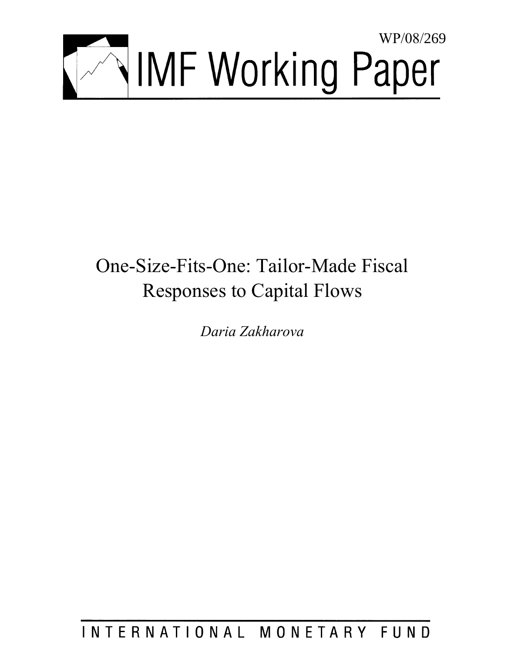

# One-Size-Fits-One: Tailor-Made Fiscal Responses to Capital Flows

*Daria Zakharova* 

INTERNATIONAL MONETARY FUND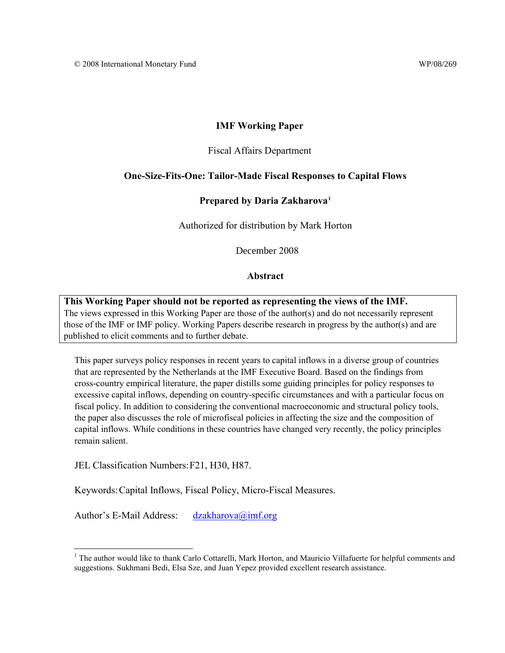## **IMF Working Paper**

## Fiscal Affairs Department

## **One-Size-Fits-One: Tailor-Made Fiscal Responses to Capital Flows**

## **Prepared by Daria Zakharova[1](#page-2-0)**

Authorized for distribution by Mark Horton

December 2008

## **Abstract**

**This Working Paper should not be reported as representing the views of the IMF.** The views expressed in this Working Paper are those of the author(s) and do not necessarily represent those of the IMF or IMF policy. Working Papers describe research in progress by the author(s) and are published to elicit comments and to further debate.

This paper surveys policy responses in recent years to capital inflows in a diverse group of countries that are represented by the Netherlands at the IMF Executive Board. Based on the findings from cross-country empirical literature, the paper distills some guiding principles for policy responses to excessive capital inflows, depending on country-specific circumstances and with a particular focus on fiscal policy. In addition to considering the conventional macroeconomic and structural policy tools, the paper also discusses the role of microfiscal policies in affecting the size and the composition of capital inflows. While conditions in these countries have changed very recently, the policy principles remain salient.

JEL Classification Numbers: F21, H30, H87.

<u>.</u>

Keywords: Capital Inflows, Fiscal Policy, Micro-Fiscal Measures.

Author's E-Mail Address: [dzakharova@imf.org](mailto:dzakharova@imf.org)

<span id="page-2-0"></span><sup>&</sup>lt;sup>1</sup> The author would like to thank Carlo Cottarelli, Mark Horton, and Mauricio Villafuerte for helpful comments and suggestions. Sukhmani Bedi, Elsa Sze, and Juan Yepez provided excellent research assistance.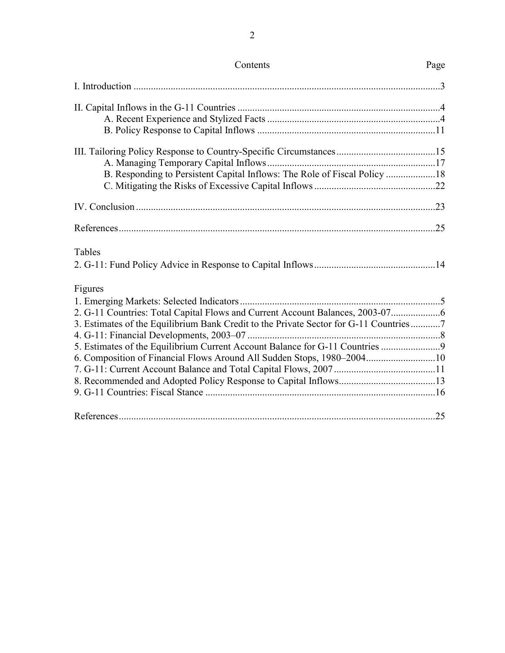| Tables                                                                                |  |
|---------------------------------------------------------------------------------------|--|
|                                                                                       |  |
| Figures                                                                               |  |
|                                                                                       |  |
|                                                                                       |  |
| 3. Estimates of the Equilibrium Bank Credit to the Private Sector for G-11 Countries7 |  |
|                                                                                       |  |
| 5. Estimates of the Equilibrium Current Account Balance for G-11 Countries            |  |
| 6. Composition of Financial Flows Around All Sudden Stops, 1980–200410                |  |
|                                                                                       |  |
|                                                                                       |  |
|                                                                                       |  |
|                                                                                       |  |

Contents Page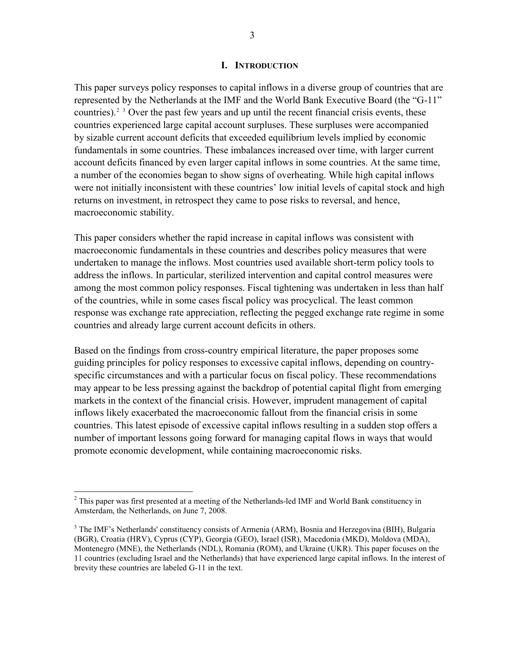## **I. INTRODUCTION**

<span id="page-4-0"></span>This paper surveys policy responses to capital inflows in a diverse group of countries that are represented by the Netherlands at the IMF and the World Bank Executive Board (the "G-11" countries).<sup>[2](#page-4-1) [3](#page-4-2)</sup> Over the past few years and up until the recent financial crisis events, these countries experienced large capital account surpluses. These surpluses were accompanied by sizable current account deficits that exceeded equilibrium levels implied by economic fundamentals in some countries. These imbalances increased over time, with larger current account deficits financed by even larger capital inflows in some countries. At the same time, a number of the economies began to show signs of overheating. While high capital inflows were not initially inconsistent with these countries' low initial levels of capital stock and high returns on investment, in retrospect they came to pose risks to reversal, and hence, macroeconomic stability.

This paper considers whether the rapid increase in capital inflows was consistent with macroeconomic fundamentals in these countries and describes policy measures that were undertaken to manage the inflows. Most countries used available short-term policy tools to address the inflows. In particular, sterilized intervention and capital control measures were among the most common policy responses. Fiscal tightening was undertaken in less than half of the countries, while in some cases fiscal policy was procyclical. The least common response was exchange rate appreciation, reflecting the pegged exchange rate regime in some countries and already large current account deficits in others.

Based on the findings from cross-country empirical literature, the paper proposes some guiding principles for policy responses to excessive capital inflows, depending on countryspecific circumstances and with a particular focus on fiscal policy. These recommendations may appear to be less pressing against the backdrop of potential capital flight from emerging markets in the context of the financial crisis. However, imprudent management of capital inflows likely exacerbated the macroeconomic fallout from the financial crisis in some countries. This latest episode of excessive capital inflows resulting in a sudden stop offers a number of important lessons going forward for managing capital flows in ways that would promote economic development, while containing macroeconomic risks.

 $\overline{a}$ 

<span id="page-4-1"></span> $2$  This paper was first presented at a meeting of the Netherlands-led IMF and World Bank constituency in Amsterdam, the Netherlands, on June 7, 2008.

<span id="page-4-2"></span><sup>&</sup>lt;sup>3</sup> The IMF's Netherlands' constituency consists of Armenia (ARM), Bosnia and Herzegovina (BIH), Bulgaria (BGR), Croatia (HRV), Cyprus (CYP), Georgia (GEO), Israel (ISR), Macedonia (MKD), Moldova (MDA), Montenegro (MNE), the Netherlands (NDL), Romania (ROM), and Ukraine (UKR). This paper focuses on the 11 countries (excluding Israel and the Netherlands) that have experienced large capital inflows. In the interest of brevity these countries are labeled G-11 in the text.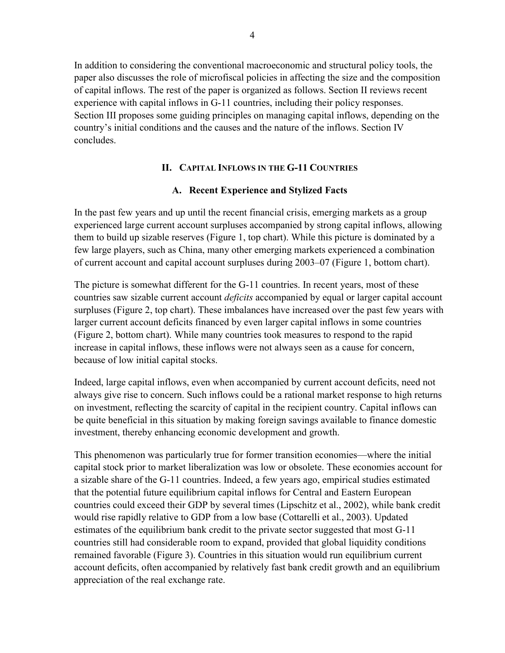<span id="page-5-0"></span>In addition to considering the conventional macroeconomic and structural policy tools, the paper also discusses the role of microfiscal policies in affecting the size and the composition of capital inflows. The rest of the paper is organized as follows. Section II reviews recent experience with capital inflows in G-11 countries, including their policy responses. Section III proposes some guiding principles on managing capital inflows, depending on the country's initial conditions and the causes and the nature of the inflows. Section IV concludes.

# **II. CAPITAL INFLOWS IN THE G-11 COUNTRIES**

# **A. Recent Experience and Stylized Facts**

In the past few years and up until the recent financial crisis, emerging markets as a group experienced large current account surpluses accompanied by strong capital inflows, allowing them to build up sizable reserves (Figure 1, top chart). While this picture is dominated by a few large players, such as China, many other emerging markets experienced a combination of current account and capital account surpluses during 2003–07 (Figure 1, bottom chart).

The picture is somewhat different for the G-11 countries. In recent years, most of these countries saw sizable current account *deficits* accompanied by equal or larger capital account surpluses (Figure 2, top chart). These imbalances have increased over the past few years with larger current account deficits financed by even larger capital inflows in some countries (Figure 2, bottom chart). While many countries took measures to respond to the rapid increase in capital inflows, these inflows were not always seen as a cause for concern, because of low initial capital stocks.

Indeed, large capital inflows, even when accompanied by current account deficits, need not always give rise to concern. Such inflows could be a rational market response to high returns on investment, reflecting the scarcity of capital in the recipient country. Capital inflows can be quite beneficial in this situation by making foreign savings available to finance domestic investment, thereby enhancing economic development and growth.

This phenomenon was particularly true for former transition economies—where the initial capital stock prior to market liberalization was low or obsolete. These economies account for a sizable share of the G-11 countries. Indeed, a few years ago, empirical studies estimated that the potential future equilibrium capital inflows for Central and Eastern European countries could exceed their GDP by several times (Lipschitz et al., 2002), while bank credit would rise rapidly relative to GDP from a low base (Cottarelli et al., 2003). Updated estimates of the equilibrium bank credit to the private sector suggested that most G-11 countries still had considerable room to expand, provided that global liquidity conditions remained favorable (Figure 3). Countries in this situation would run equilibrium current account deficits, often accompanied by relatively fast bank credit growth and an equilibrium appreciation of the real exchange rate.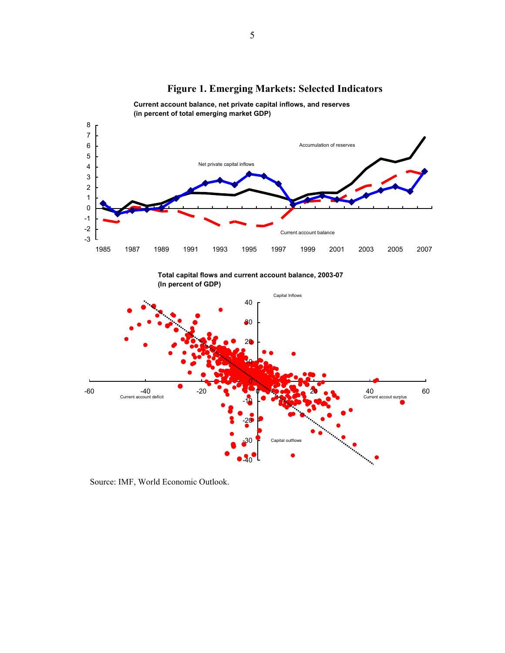<span id="page-6-0"></span>

 $-40$ 

# **Figure 1. Emerging Markets: Selected Indicators**

**Current account balance, net private capital inflows, and reserves (in percent of total emerging market GDP)**

Source: IMF, World Economic Outlook.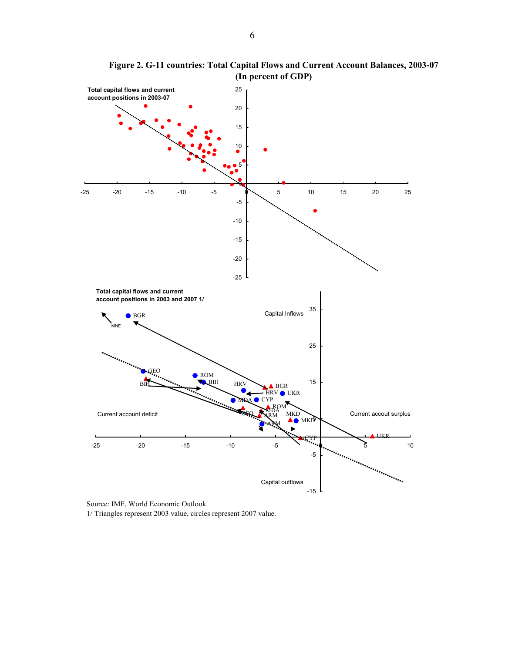<span id="page-7-0"></span>

**Figure 2. G-11 countries: Total Capital Flows and Current Account Balances, 2003-07 (In percent of GDP)**

Source: IMF, World Economic Outlook. 1/ Triangles represent 2003 value, circles represent 2007 value.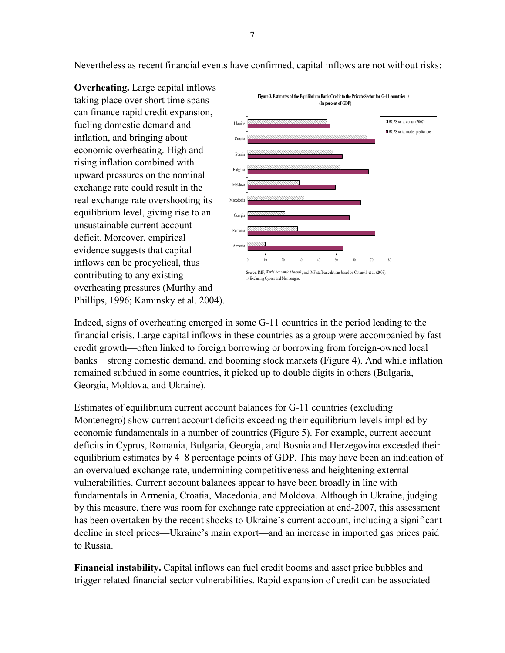<span id="page-8-0"></span>Nevertheless as recent financial events have confirmed, capital inflows are not without risks:

**Overheating.** Large capital inflows taking place over short time spans can finance rapid credit expansion, fueling domestic demand and inflation, and bringing about economic overheating. High and rising inflation combined with upward pressures on the nominal exchange rate could result in the real exchange rate overshooting its equilibrium level, giving rise to an unsustainable current account deficit. Moreover, empirical evidence suggests that capital inflows can be procyclical, thus contributing to any existing overheating pressures (Murthy and Phillips, 1996; Kaminsky et al. 2004).



Indeed, signs of overheating emerged in some G-11 countries in the period leading to the financial crisis. Large capital inflows in these countries as a group were accompanied by fast credit growth—often linked to foreign borrowing or borrowing from foreign-owned local banks—strong domestic demand, and booming stock markets (Figure 4). And while inflation remained subdued in some countries, it picked up to double digits in others (Bulgaria, Georgia, Moldova, and Ukraine).

Estimates of equilibrium current account balances for G-11 countries (excluding Montenegro) show current account deficits exceeding their equilibrium levels implied by economic fundamentals in a number of countries (Figure 5). For example, current account deficits in Cyprus, Romania, Bulgaria, Georgia, and Bosnia and Herzegovina exceeded their equilibrium estimates by 4–8 percentage points of GDP. This may have been an indication of an overvalued exchange rate, undermining competitiveness and heightening external vulnerabilities. Current account balances appear to have been broadly in line with fundamentals in Armenia, Croatia, Macedonia, and Moldova. Although in Ukraine, judging by this measure, there was room for exchange rate appreciation at end-2007, this assessment has been overtaken by the recent shocks to Ukraine's current account, including a significant decline in steel prices—Ukraine's main export—and an increase in imported gas prices paid to Russia.

**Financial instability.** Capital inflows can fuel credit booms and asset price bubbles and trigger related financial sector vulnerabilities. Rapid expansion of credit can be associated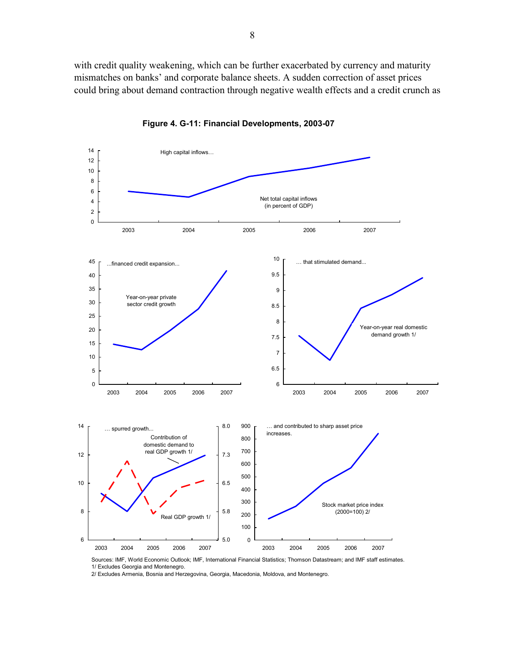<span id="page-9-0"></span>with credit quality weakening, which can be further exacerbated by currency and maturity mismatches on banks' and corporate balance sheets. A sudden correction of asset prices could bring about demand contraction through negative wealth effects and a credit crunch as



**Figure 4. G-11: Financial Developments, 2003-07**

Sources: IMF, World Economic Outlook; IMF, International Financial Statistics; Thomson Datastream; and IMF staff estimates. 1/ Excludes Georgia and Montenegro.

2/ Excludes Armenia, Bosnia and Herzegovina, Georgia, Macedonia, Moldova, and Montenegro.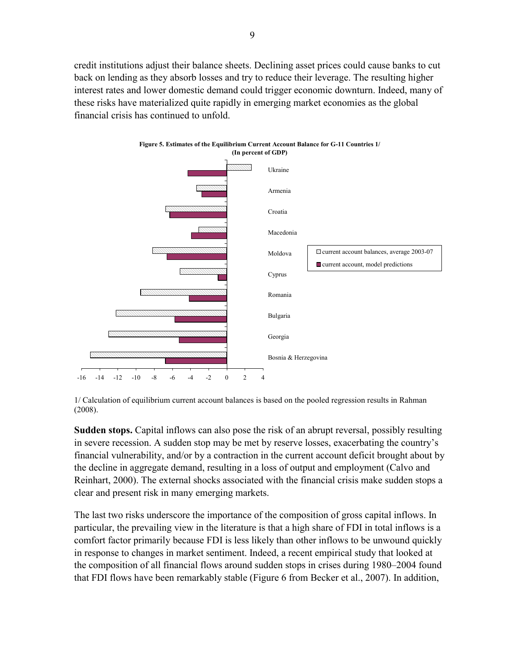<span id="page-10-0"></span>credit institutions adjust their balance sheets. Declining asset prices could cause banks to cut back on lending as they absorb losses and try to reduce their leverage. The resulting higher interest rates and lower domestic demand could trigger economic downturn. Indeed, many of these risks have materialized quite rapidly in emerging market economies as the global financial crisis has continued to unfold.



**Figure 5. Estimates of the Equilibrium Current Account Balance for G-11 Countries 1/ (In percent of GDP)**

1/ Calculation of equilibrium current account balances is based on the pooled regression results in Rahman (2008).

**Sudden stops.** Capital inflows can also pose the risk of an abrupt reversal, possibly resulting in severe recession. A sudden stop may be met by reserve losses, exacerbating the country's financial vulnerability, and/or by a contraction in the current account deficit brought about by the decline in aggregate demand, resulting in a loss of output and employment (Calvo and Reinhart, 2000). The external shocks associated with the financial crisis make sudden stops a clear and present risk in many emerging markets.

The last two risks underscore the importance of the composition of gross capital inflows. In particular, the prevailing view in the literature is that a high share of FDI in total inflows is a comfort factor primarily because FDI is less likely than other inflows to be unwound quickly in response to changes in market sentiment. Indeed, a recent empirical study that looked at the composition of all financial flows around sudden stops in crises during 1980–2004 found that FDI flows have been remarkably stable (Figure 6 from Becker et al., 2007). In addition,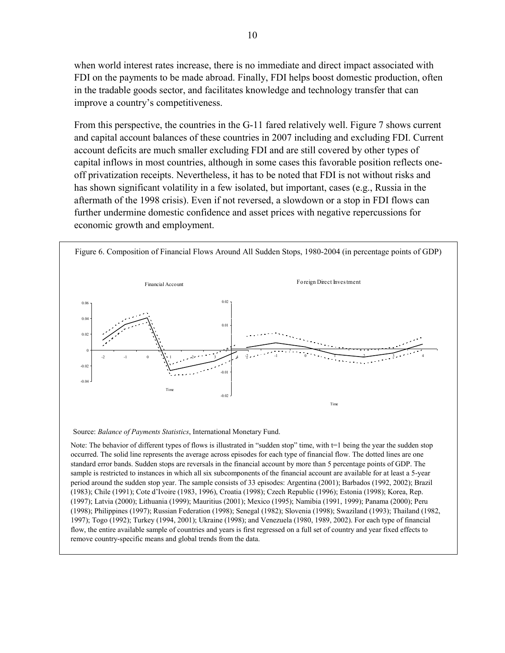<span id="page-11-0"></span>when world interest rates increase, there is no immediate and direct impact associated with FDI on the payments to be made abroad. Finally, FDI helps boost domestic production, often in the tradable goods sector, and facilitates knowledge and technology transfer that can improve a country's competitiveness.

From this perspective, the countries in the G-11 fared relatively well. Figure 7 shows current and capital account balances of these countries in 2007 including and excluding FDI. Current account deficits are much smaller excluding FDI and are still covered by other types of capital inflows in most countries, although in some cases this favorable position reflects oneoff privatization receipts. Nevertheless, it has to be noted that FDI is not without risks and has shown significant volatility in a few isolated, but important, cases (e.g., Russia in the aftermath of the 1998 crisis). Even if not reversed, a slowdown or a stop in FDI flows can further undermine domestic confidence and asset prices with negative repercussions for economic growth and employment.



Source: *Balance of Payments Statistics*, International Monetary Fund.

Note: The behavior of different types of flows is illustrated in "sudden stop" time, with t=1 being the year the sudden stop occurred. The solid line represents the average across episodes for each type of financial flow. The dotted lines are one standard error bands. Sudden stops are reversals in the financial account by more than 5 percentage points of GDP. The sample is restricted to instances in which all six subcomponents of the financial account are available for at least a 5-year period around the sudden stop year. The sample consists of 33 episodes: Argentina (2001); Barbados (1992, 2002); Brazil (1983); Chile (1991); Cote d'Ivoire (1983, 1996), Croatia (1998); Czech Republic (1996); Estonia (1998); Korea, Rep. (1997); Latvia (2000); Lithuania (1999); Mauritius (2001); Mexico (1995); Namibia (1991, 1999); Panama (2000); Peru (1998); Philippines (1997); Russian Federation (1998); Senegal (1982); Slovenia (1998); Swaziland (1993); Thailand (1982, 1997); Togo (1992); Turkey (1994, 2001); Ukraine (1998); and Venezuela (1980, 1989, 2002). For each type of financial flow, the entire available sample of countries and years is first regressed on a full set of country and year fixed effects to remove country-specific means and global trends from the data.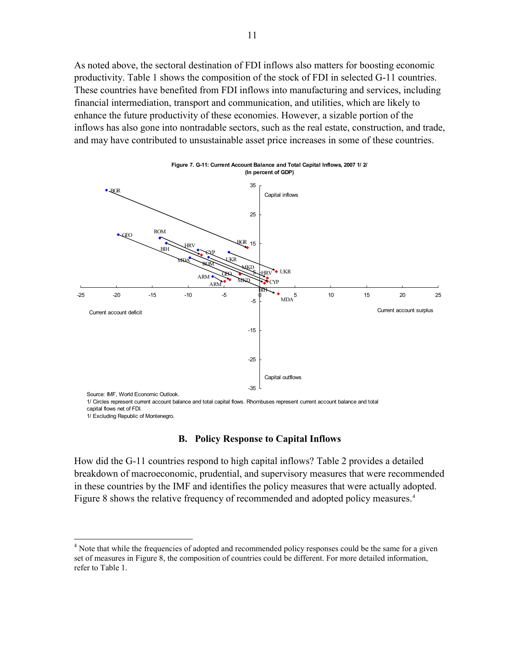<span id="page-12-0"></span>As noted above, the sectoral destination of FDI inflows also matters for boosting economic productivity. Table 1 shows the composition of the stock of FDI in selected G-11 countries. These countries have benefited from FDI inflows into manufacturing and services, including financial intermediation, transport and communication, and utilities, which are likely to enhance the future productivity of these economies. However, a sizable portion of the inflows has also gone into nontradable sectors, such as the real estate, construction, and trade, and may have contributed to unsustainable asset price increases in some of these countries.



```
1/ Excluding Republic of Montenegro.
```
 $\overline{a}$ 

## **B. Policy Response to Capital Inflows**

How did the G-11 countries respond to high capital inflows? Table 2 provides a detailed breakdown of macroeconomic, prudential, and supervisory measures that were recommended in these countries by the IMF and identifies the policy measures that were actually adopted. Figure 8 shows the relative frequency of recommended and adopted policy measures.<sup>[4](#page-12-1)</sup>

<span id="page-12-1"></span><sup>&</sup>lt;sup>4</sup> Note that while the frequencies of adopted and recommended policy responses could be the same for a given set of measures in Figure 8, the composition of countries could be different. For more detailed information, refer to Table 1.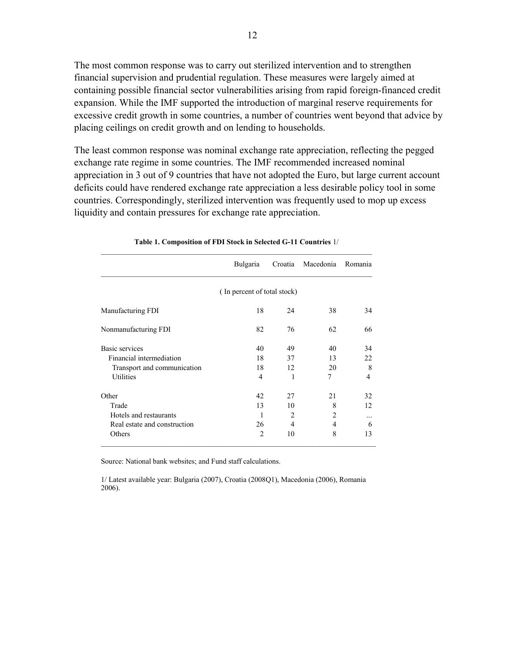The most common response was to carry out sterilized intervention and to strengthen financial supervision and prudential regulation. These measures were largely aimed at containing possible financial sector vulnerabilities arising from rapid foreign-financed credit expansion. While the IMF supported the introduction of marginal reserve requirements for excessive credit growth in some countries, a number of countries went beyond that advice by placing ceilings on credit growth and on lending to households.

The least common response was nominal exchange rate appreciation, reflecting the pegged exchange rate regime in some countries. The IMF recommended increased nominal appreciation in 3 out of 9 countries that have not adopted the Euro, but large current account deficits could have rendered exchange rate appreciation a less desirable policy tool in some countries. Correspondingly, sterilized intervention was frequently used to mop up excess liquidity and contain pressures for exchange rate appreciation.

|                              | Bulgaria                    | Croatia | Macedonia | Romania        |  |  |  |  |
|------------------------------|-----------------------------|---------|-----------|----------------|--|--|--|--|
|                              | (In percent of total stock) |         |           |                |  |  |  |  |
| Manufacturing FDI            | 18                          | 24      | 38        | 34             |  |  |  |  |
| Nonmanufacturing FDI         | 82                          | 76      | 62        | 66             |  |  |  |  |
| Basic services               | 40                          | 49      | 40        | 34             |  |  |  |  |
| Financial intermediation     | 18                          | 37      | 13        | 22             |  |  |  |  |
| Transport and communication  | 18                          | 12      | 20        | 8              |  |  |  |  |
| Utilities                    | $\overline{4}$              | 1       | 7         | $\overline{4}$ |  |  |  |  |
| Other                        | 42                          | 27      | 21        | 32             |  |  |  |  |
| Trade                        | 13                          | 10      | 8         | 12             |  |  |  |  |
| Hotels and restaurants       | 1                           | 2       | 2         |                |  |  |  |  |
| Real estate and construction | 26                          | 4       | 4         | 6              |  |  |  |  |
| Others                       | 2                           | 10      | 8         | 13             |  |  |  |  |

#### **Table 1. Composition of FDI Stock in Selected G-11 Countries** 1/

Source: National bank websites; and Fund staff calculations.

1/ Latest available year: Bulgaria (2007), Croatia (2008Q1), Macedonia (2006), Romania 2006).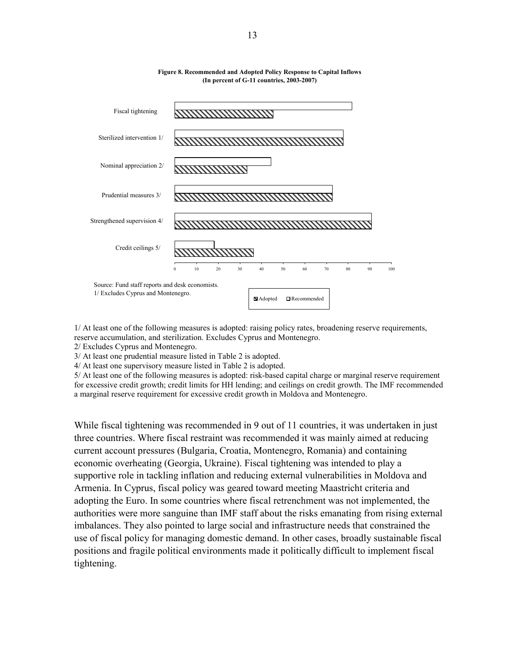<span id="page-14-0"></span>

#### **Figure 8. Recommended and Adopted Policy Response to Capital Inflows (In percent of G-11 countries, 2003-2007)**

1/ At least one of the following measures is adopted: raising policy rates, broadening reserve requirements, reserve accumulation, and sterilization. Excludes Cyprus and Montenegro.

2/ Excludes Cyprus and Montenegro.

3/ At least one prudential measure listed in Table 2 is adopted.

4/ At least one supervisory measure listed in Table 2 is adopted.

5/ At least one of the following measures is adopted: risk-based capital charge or marginal reserve requirement for excessive credit growth; credit limits for HH lending; and ceilings on credit growth. The IMF recommended a marginal reserve requirement for excessive credit growth in Moldova and Montenegro.

While fiscal tightening was recommended in 9 out of 11 countries, it was undertaken in just three countries. Where fiscal restraint was recommended it was mainly aimed at reducing current account pressures (Bulgaria, Croatia, Montenegro, Romania) and containing economic overheating (Georgia, Ukraine). Fiscal tightening was intended to play a supportive role in tackling inflation and reducing external vulnerabilities in Moldova and Armenia. In Cyprus, fiscal policy was geared toward meeting Maastricht criteria and adopting the Euro. In some countries where fiscal retrenchment was not implemented, the authorities were more sanguine than IMF staff about the risks emanating from rising external imbalances. They also pointed to large social and infrastructure needs that constrained the use of fiscal policy for managing domestic demand. In other cases, broadly sustainable fiscal positions and fragile political environments made it politically difficult to implement fiscal tightening.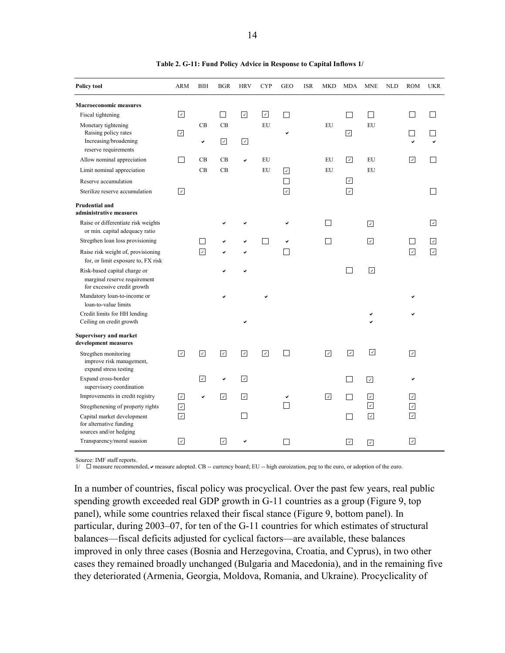<span id="page-15-0"></span>

| <b>Policy tool</b>                                                                           | ARM                      | BIH        | <b>BGR</b>        | <b>HRV</b>   | <b>CYP</b> | GEO                      | <b>ISR</b> | <b>MKD</b> | <b>MDA</b>     | <b>MNE</b>           | <b>NLD</b> | <b>ROM</b>                            | <b>UKR</b>               |
|----------------------------------------------------------------------------------------------|--------------------------|------------|-------------------|--------------|------------|--------------------------|------------|------------|----------------|----------------------|------------|---------------------------------------|--------------------------|
| <b>Macroeconomic measures</b>                                                                |                          |            |                   |              |            |                          |            |            |                |                      |            |                                       |                          |
| Fiscal tightening                                                                            | ☑                        |            | $\vert \ \ \vert$ | ⊡            | ☑          | $\overline{\phantom{a}}$ |            |            |                | $\mathsf{L}$         |            |                                       |                          |
| Monetary tightening<br>Raising policy rates<br>Increasing/broadening<br>reserve requirements | ☑                        | CB<br>V    | CB<br>☑           | ☑            | EU         | ✓                        |            | EU         | ⊡              | EU                   |            |                                       |                          |
| Allow nominal appreciation                                                                   | П                        | CB         | CB                | $\checkmark$ | EU         |                          |            | EU         | ⊡              | EU                   |            | ☑                                     |                          |
| Limit nominal appreciation                                                                   |                          | CB         | CB                |              | EU         | ⊡                        |            | EU         |                | EU                   |            |                                       |                          |
| Reserve accumulation                                                                         |                          |            |                   |              |            | $\Box$                   |            |            | ☑              |                      |            |                                       |                          |
| Sterilize reserve accumulation                                                               | ⊡                        |            |                   |              |            | $\overline{\mathcal{L}}$ |            |            | ⊡              |                      |            |                                       |                          |
| Prudential and<br>administrative measures                                                    |                          |            |                   |              |            |                          |            |            |                |                      |            |                                       |                          |
| Raise or differentiate risk weights<br>or min. capital adequacy ratio                        |                          |            |                   |              |            |                          |            |            |                | ⊡                    |            |                                       | $\vert\downarrow\vert$   |
| Stregthen loan loss provisioning                                                             |                          |            |                   |              |            |                          |            |            |                | ⊡                    |            |                                       | $\vert \downarrow \vert$ |
| Raise risk weight of, provisioning<br>for, or limit exposure to, FX risk                     |                          | ⊽          |                   |              |            |                          |            |            |                |                      |            | $\boxed{\checkmark}$                  | $\overline{\mathcal{A}}$ |
| Risk-based capital charge or<br>marginal reserve requirement<br>for excessive credit growth  |                          |            |                   |              |            |                          |            |            | П              | $\sqrt{2}$           |            |                                       |                          |
| Mandatory loan-to-income or<br>loan-to-value limits                                          |                          |            |                   |              |            |                          |            |            |                |                      |            |                                       |                          |
| Credit limits for HH lending<br>Ceiling on credit growth                                     |                          |            |                   |              |            |                          |            |            |                |                      |            |                                       |                          |
| <b>Supervisory and market</b><br>development measures                                        |                          |            |                   |              |            |                          |            |            |                |                      |            |                                       |                          |
| Stregthen monitoring<br>improve risk management,<br>expand stress testing                    | $\boxed{\check{}}$       | ☑          | ☑                 | ☑            | ☑          | ٦                        |            | ⊡          | ☑              | $\boxed{\checkmark}$ |            | $\boxed{\textcolor{blue}{\triangle}}$ |                          |
| Expand cross-border                                                                          |                          | $\sqrt{2}$ | ✓                 | ⊡            |            |                          |            |            | $\blacksquare$ | ☑                    |            | v                                     |                          |
| supervisory coordination<br>Improvements in credit registry                                  | ⊡                        | ✓          | ⊡                 | ⊡            |            |                          |            | ⊡          |                | $\sqrt{2}$           |            | ☑                                     |                          |
| Stregthenening of property rights                                                            | $\boxed{\checkmark}$     |            |                   |              |            | ┐                        |            |            |                | ⊡                    |            | ☑                                     |                          |
| Capital market development<br>for alternative funding                                        | $\overline{\mathcal{A}}$ |            |                   | ×.           |            |                          |            |            |                | ⊡                    |            | $\boxed{\checkmark}$                  |                          |
| sources and/or hedging<br>Transparency/moral suasion                                         | ⊡                        |            | $ \vee $          |              |            | ۰                        |            |            | ⊡              | ⊡                    |            | ⊡                                     |                          |

**Table 2. G-11: Fund Policy Advice in Response to Capital Inflows 1/**

Source: IMF staff reports.

 $1/\Box$  measure recommended,  $\triangleright$  measure adopted. CB -- currency board; EU -- high euroization, peg to the euro, or adoption of the euro.

In a number of countries, fiscal policy was procyclical. Over the past few years, real public spending growth exceeded real GDP growth in G-11 countries as a group (Figure 9, top panel), while some countries relaxed their fiscal stance (Figure 9, bottom panel). In particular, during 2003–07, for ten of the G-11 countries for which estimates of structural balances—fiscal deficits adjusted for cyclical factors—are available, these balances improved in only three cases (Bosnia and Herzegovina, Croatia, and Cyprus), in two other cases they remained broadly unchanged (Bulgaria and Macedonia), and in the remaining five they deteriorated (Armenia, Georgia, Moldova, Romania, and Ukraine). Procyclicality of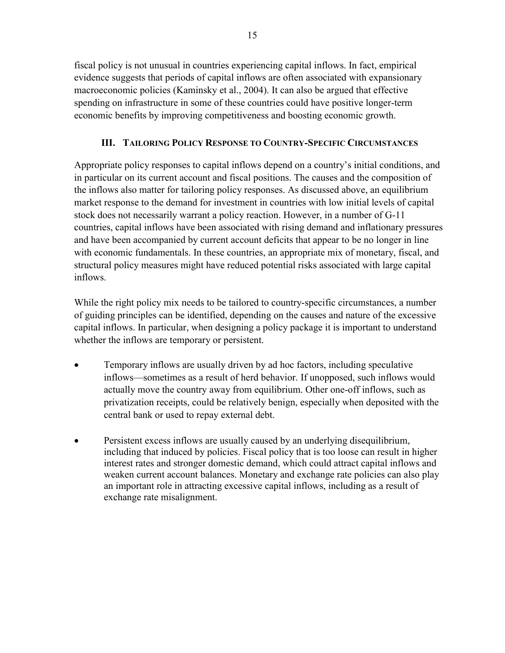<span id="page-16-0"></span>fiscal policy is not unusual in countries experiencing capital inflows. In fact, empirical evidence suggests that periods of capital inflows are often associated with expansionary macroeconomic policies (Kaminsky et al., 2004). It can also be argued that effective spending on infrastructure in some of these countries could have positive longer-term economic benefits by improving competitiveness and boosting economic growth.

# **III. TAILORING POLICY RESPONSE TO COUNTRY-SPECIFIC CIRCUMSTANCES**

Appropriate policy responses to capital inflows depend on a country's initial conditions, and in particular on its current account and fiscal positions. The causes and the composition of the inflows also matter for tailoring policy responses. As discussed above, an equilibrium market response to the demand for investment in countries with low initial levels of capital stock does not necessarily warrant a policy reaction. However, in a number of G-11 countries, capital inflows have been associated with rising demand and inflationary pressures and have been accompanied by current account deficits that appear to be no longer in line with economic fundamentals. In these countries, an appropriate mix of monetary, fiscal, and structural policy measures might have reduced potential risks associated with large capital inflows.

While the right policy mix needs to be tailored to country-specific circumstances, a number of guiding principles can be identified, depending on the causes and nature of the excessive capital inflows. In particular, when designing a policy package it is important to understand whether the inflows are temporary or persistent.

- Temporary inflows are usually driven by ad hoc factors, including speculative inflows—sometimes as a result of herd behavior. If unopposed, such inflows would actually move the country away from equilibrium. Other one-off inflows, such as privatization receipts, could be relatively benign, especially when deposited with the central bank or used to repay external debt.
- Persistent excess inflows are usually caused by an underlying disequilibrium, including that induced by policies. Fiscal policy that is too loose can result in higher interest rates and stronger domestic demand, which could attract capital inflows and weaken current account balances. Monetary and exchange rate policies can also play an important role in attracting excessive capital inflows, including as a result of exchange rate misalignment.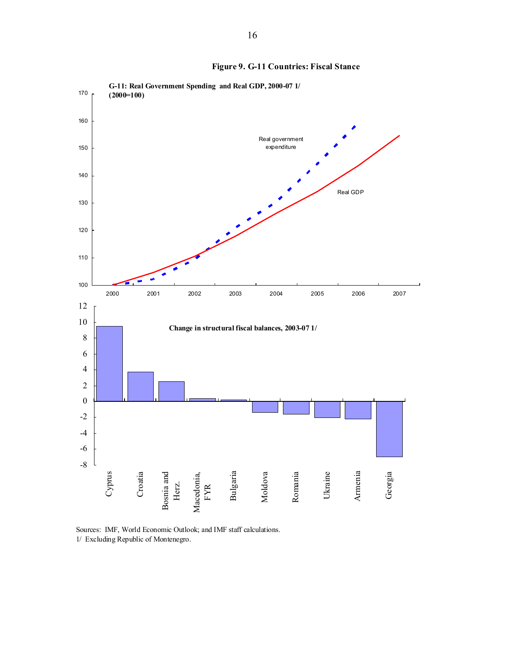<span id="page-17-0"></span>

**Figure 9. G-11 Countries: Fiscal Stance**

Sources: IMF, World Economic Outlook; and IMF staff calculations. 1/ Excluding Republic of Montenegro.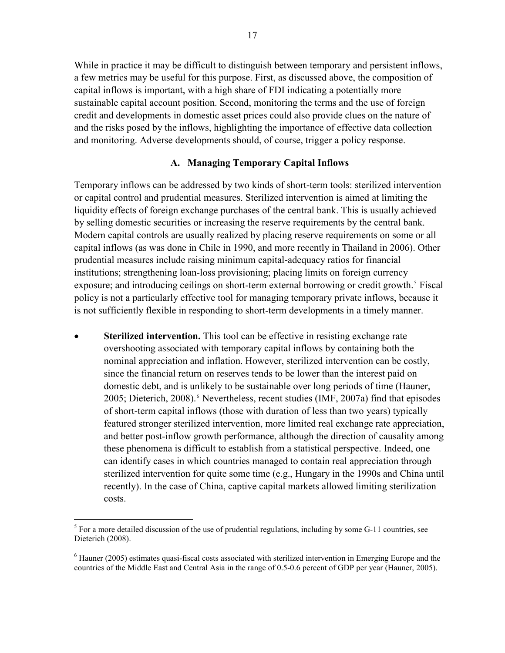<span id="page-18-0"></span>While in practice it may be difficult to distinguish between temporary and persistent inflows, a few metrics may be useful for this purpose. First, as discussed above, the composition of capital inflows is important, with a high share of FDI indicating a potentially more sustainable capital account position. Second, monitoring the terms and the use of foreign credit and developments in domestic asset prices could also provide clues on the nature of and the risks posed by the inflows, highlighting the importance of effective data collection and monitoring. Adverse developments should, of course, trigger a policy response.

## **A. Managing Temporary Capital Inflows**

Temporary inflows can be addressed by two kinds of short-term tools: sterilized intervention or capital control and prudential measures. Sterilized intervention is aimed at limiting the liquidity effects of foreign exchange purchases of the central bank. This is usually achieved by selling domestic securities or increasing the reserve requirements by the central bank. Modern capital controls are usually realized by placing reserve requirements on some or all capital inflows (as was done in Chile in 1990, and more recently in Thailand in 2006). Other prudential measures include raising minimum capital-adequacy ratios for financial institutions; strengthening loan-loss provisioning; placing limits on foreign currency exposure; and introducing ceilings on short-term external borrowing or credit growth.<sup>[5](#page-18-1)</sup> Fiscal policy is not a particularly effective tool for managing temporary private inflows, because it is not sufficiently flexible in responding to short-term developments in a timely manner.

**Sterilized intervention.** This tool can be effective in resisting exchange rate overshooting associated with temporary capital inflows by containing both the nominal appreciation and inflation. However, sterilized intervention can be costly, since the financial return on reserves tends to be lower than the interest paid on domestic debt, and is unlikely to be sustainable over long periods of time (Hauner, 2005; Dieterich, 2008).<sup>[6](#page-18-2)</sup> Nevertheless, recent studies (IMF, 2007a) find that episodes of short-term capital inflows (those with duration of less than two years) typically featured stronger sterilized intervention, more limited real exchange rate appreciation, and better post-inflow growth performance, although the direction of causality among these phenomena is difficult to establish from a statistical perspective. Indeed, one can identify cases in which countries managed to contain real appreciation through sterilized intervention for quite some time (e.g., Hungary in the 1990s and China until recently). In the case of China, captive capital markets allowed limiting sterilization costs.

1

<span id="page-18-1"></span> $<sup>5</sup>$  For a more detailed discussion of the use of prudential regulations, including by some G-11 countries, see</sup> Dieterich (2008).

<span id="page-18-2"></span> $6$  Hauner (2005) estimates quasi-fiscal costs associated with sterilized intervention in Emerging Europe and the countries of the Middle East and Central Asia in the range of 0.5-0.6 percent of GDP per year (Hauner, 2005).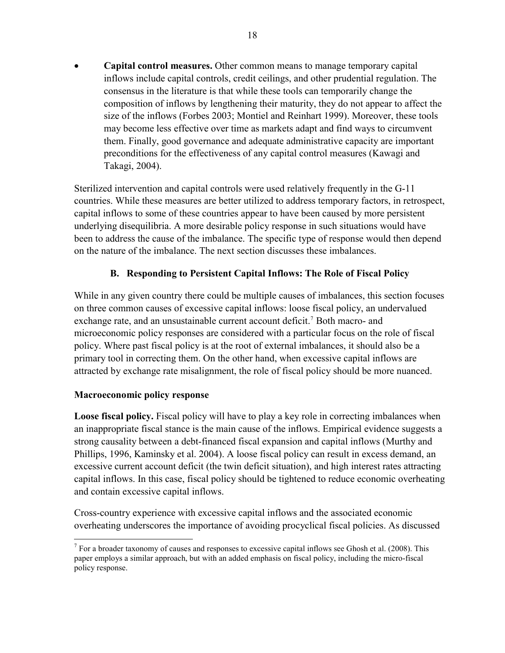<span id="page-19-0"></span>• **Capital control measures.** Other common means to manage temporary capital inflows include capital controls, credit ceilings, and other prudential regulation. The consensus in the literature is that while these tools can temporarily change the composition of inflows by lengthening their maturity, they do not appear to affect the size of the inflows (Forbes 2003; Montiel and Reinhart 1999). Moreover, these tools may become less effective over time as markets adapt and find ways to circumvent them. Finally, good governance and adequate administrative capacity are important preconditions for the effectiveness of any capital control measures (Kawagi and Takagi, 2004).

Sterilized intervention and capital controls were used relatively frequently in the G-11 countries. While these measures are better utilized to address temporary factors, in retrospect, capital inflows to some of these countries appear to have been caused by more persistent underlying disequilibria. A more desirable policy response in such situations would have been to address the cause of the imbalance. The specific type of response would then depend on the nature of the imbalance. The next section discusses these imbalances.

# **B. Responding to Persistent Capital Inflows: The Role of Fiscal Policy**

While in any given country there could be multiple causes of imbalances, this section focuses on three common causes of excessive capital inflows: loose fiscal policy, an undervalued exchange rate, and an unsustainable current account deficit.<sup>[7](#page-19-1)</sup> Both macro- and microeconomic policy responses are considered with a particular focus on the role of fiscal policy. Where past fiscal policy is at the root of external imbalances, it should also be a primary tool in correcting them. On the other hand, when excessive capital inflows are attracted by exchange rate misalignment, the role of fiscal policy should be more nuanced.

# **Macroeconomic policy response**

1

**Loose fiscal policy.** Fiscal policy will have to play a key role in correcting imbalances when an inappropriate fiscal stance is the main cause of the inflows. Empirical evidence suggests a strong causality between a debt-financed fiscal expansion and capital inflows (Murthy and Phillips, 1996, Kaminsky et al. 2004). A loose fiscal policy can result in excess demand, an excessive current account deficit (the twin deficit situation), and high interest rates attracting capital inflows. In this case, fiscal policy should be tightened to reduce economic overheating and contain excessive capital inflows.

Cross-country experience with excessive capital inflows and the associated economic overheating underscores the importance of avoiding procyclical fiscal policies. As discussed

<span id="page-19-1"></span> $<sup>7</sup>$  For a broader taxonomy of causes and responses to excessive capital inflows see Ghosh et al. (2008). This</sup> paper employs a similar approach, but with an added emphasis on fiscal policy, including the micro-fiscal policy response.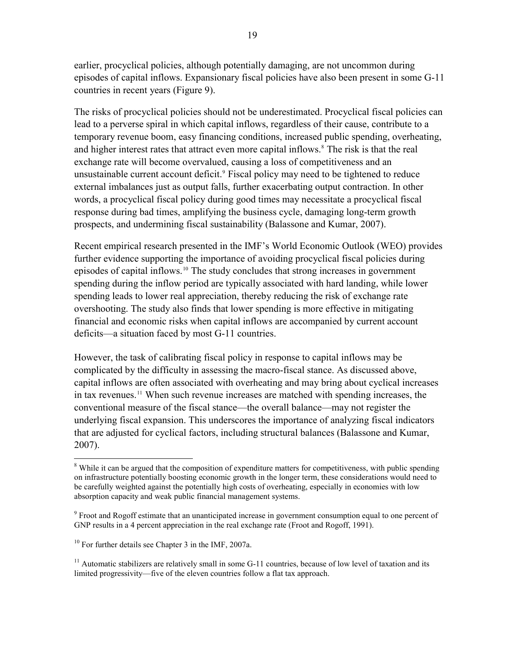earlier, procyclical policies, although potentially damaging, are not uncommon during episodes of capital inflows. Expansionary fiscal policies have also been present in some G-11 countries in recent years (Figure 9).

The risks of procyclical policies should not be underestimated. Procyclical fiscal policies can lead to a perverse spiral in which capital inflows, regardless of their cause, contribute to a temporary revenue boom, easy financing conditions, increased public spending, overheating, and higher interest rates that attract even more capital inflows.<sup>[8](#page-20-0)</sup> The risk is that the real exchange rate will become overvalued, causing a loss of competitiveness and an unsustainable current account deficit.<sup>[9](#page-20-1)</sup> Fiscal policy may need to be tightened to reduce external imbalances just as output falls, further exacerbating output contraction. In other words, a procyclical fiscal policy during good times may necessitate a procyclical fiscal response during bad times, amplifying the business cycle, damaging long-term growth prospects, and undermining fiscal sustainability (Balassone and Kumar, 2007).

Recent empirical research presented in the IMF's World Economic Outlook (WEO) provides further evidence supporting the importance of avoiding procyclical fiscal policies during episodes of capital inflows.<sup>[10](#page-20-2)</sup> The study concludes that strong increases in government spending during the inflow period are typically associated with hard landing, while lower spending leads to lower real appreciation, thereby reducing the risk of exchange rate overshooting. The study also finds that lower spending is more effective in mitigating financial and economic risks when capital inflows are accompanied by current account deficits—a situation faced by most G-11 countries.

However, the task of calibrating fiscal policy in response to capital inflows may be complicated by the difficulty in assessing the macro-fiscal stance. As discussed above, capital inflows are often associated with overheating and may bring about cyclical increases in tax revenues.<sup>[11](#page-20-3)</sup> When such revenue increases are matched with spending increases, the conventional measure of the fiscal stance—the overall balance—may not register the underlying fiscal expansion. This underscores the importance of analyzing fiscal indicators that are adjusted for cyclical factors, including structural balances (Balassone and Kumar, 2007).

1

<span id="page-20-0"></span><sup>&</sup>lt;sup>8</sup> While it can be argued that the composition of expenditure matters for competitiveness, with public spending on infrastructure potentially boosting economic growth in the longer term, these considerations would need to be carefully weighted against the potentially high costs of overheating, especially in economies with low absorption capacity and weak public financial management systems.

<span id="page-20-1"></span><sup>&</sup>lt;sup>9</sup> Froot and Rogoff estimate that an unanticipated increase in government consumption equal to one percent of GNP results in a 4 percent appreciation in the real exchange rate (Froot and Rogoff, 1991).

<span id="page-20-2"></span><sup>&</sup>lt;sup>10</sup> For further details see Chapter 3 in the IMF, 2007a.

<span id="page-20-3"></span><sup>&</sup>lt;sup>11</sup> Automatic stabilizers are relatively small in some  $G-11$  countries, because of low level of taxation and its limited progressivity—five of the eleven countries follow a flat tax approach.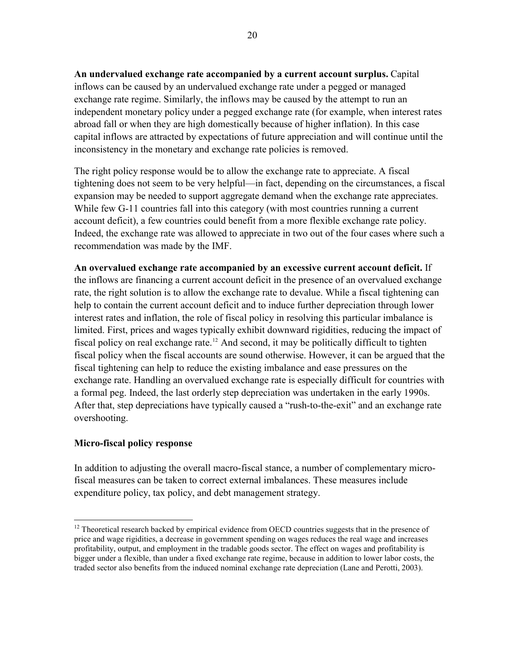**An undervalued exchange rate accompanied by a current account surplus.** Capital inflows can be caused by an undervalued exchange rate under a pegged or managed exchange rate regime. Similarly, the inflows may be caused by the attempt to run an independent monetary policy under a pegged exchange rate (for example, when interest rates abroad fall or when they are high domestically because of higher inflation). In this case capital inflows are attracted by expectations of future appreciation and will continue until the inconsistency in the monetary and exchange rate policies is removed.

The right policy response would be to allow the exchange rate to appreciate. A fiscal tightening does not seem to be very helpful—in fact, depending on the circumstances, a fiscal expansion may be needed to support aggregate demand when the exchange rate appreciates. While few G-11 countries fall into this category (with most countries running a current account deficit), a few countries could benefit from a more flexible exchange rate policy. Indeed, the exchange rate was allowed to appreciate in two out of the four cases where such a recommendation was made by the IMF.

**An overvalued exchange rate accompanied by an excessive current account deficit.** If the inflows are financing a current account deficit in the presence of an overvalued exchange rate, the right solution is to allow the exchange rate to devalue. While a fiscal tightening can help to contain the current account deficit and to induce further depreciation through lower interest rates and inflation, the role of fiscal policy in resolving this particular imbalance is limited. First, prices and wages typically exhibit downward rigidities, reducing the impact of fiscal policy on real exchange rate.<sup>[12](#page-21-0)</sup> And second, it may be politically difficult to tighten fiscal policy when the fiscal accounts are sound otherwise. However, it can be argued that the fiscal tightening can help to reduce the existing imbalance and ease pressures on the exchange rate. Handling an overvalued exchange rate is especially difficult for countries with a formal peg. Indeed, the last orderly step depreciation was undertaken in the early 1990s. After that, step depreciations have typically caused a "rush-to-the-exit" and an exchange rate overshooting.

# **Micro-fiscal policy response**

<u>.</u>

In addition to adjusting the overall macro-fiscal stance, a number of complementary microfiscal measures can be taken to correct external imbalances. These measures include expenditure policy, tax policy, and debt management strategy.

<span id="page-21-0"></span> $12$  Theoretical research backed by empirical evidence from OECD countries suggests that in the presence of price and wage rigidities, a decrease in government spending on wages reduces the real wage and increases profitability, output, and employment in the tradable goods sector. The effect on wages and profitability is bigger under a flexible, than under a fixed exchange rate regime, because in addition to lower labor costs, the traded sector also benefits from the induced nominal exchange rate depreciation (Lane and Perotti, 2003).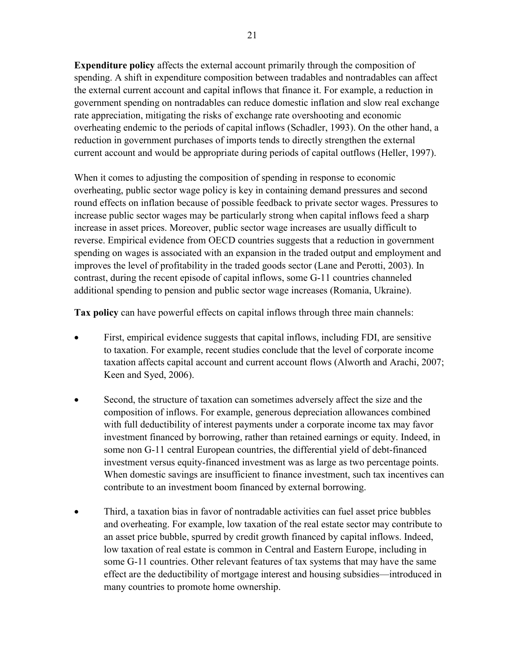**Expenditure policy** affects the external account primarily through the composition of spending. A shift in expenditure composition between tradables and nontradables can affect the external current account and capital inflows that finance it. For example, a reduction in government spending on nontradables can reduce domestic inflation and slow real exchange rate appreciation, mitigating the risks of exchange rate overshooting and economic overheating endemic to the periods of capital inflows (Schadler, 1993). On the other hand, a reduction in government purchases of imports tends to directly strengthen the external current account and would be appropriate during periods of capital outflows (Heller, 1997).

When it comes to adjusting the composition of spending in response to economic overheating, public sector wage policy is key in containing demand pressures and second round effects on inflation because of possible feedback to private sector wages. Pressures to increase public sector wages may be particularly strong when capital inflows feed a sharp increase in asset prices. Moreover, public sector wage increases are usually difficult to reverse. Empirical evidence from OECD countries suggests that a reduction in government spending on wages is associated with an expansion in the traded output and employment and improves the level of profitability in the traded goods sector (Lane and Perotti, 2003). In contrast, during the recent episode of capital inflows, some G-11 countries channeled additional spending to pension and public sector wage increases (Romania, Ukraine).

**Tax policy** can have powerful effects on capital inflows through three main channels:

- First, empirical evidence suggests that capital inflows, including FDI, are sensitive to taxation. For example, recent studies conclude that the level of corporate income taxation affects capital account and current account flows (Alworth and Arachi, 2007; Keen and Syed, 2006).
- Second, the structure of taxation can sometimes adversely affect the size and the composition of inflows. For example, generous depreciation allowances combined with full deductibility of interest payments under a corporate income tax may favor investment financed by borrowing, rather than retained earnings or equity. Indeed, in some non G-11 central European countries, the differential yield of debt-financed investment versus equity-financed investment was as large as two percentage points. When domestic savings are insufficient to finance investment, such tax incentives can contribute to an investment boom financed by external borrowing.
- Third, a taxation bias in favor of nontradable activities can fuel asset price bubbles and overheating. For example, low taxation of the real estate sector may contribute to an asset price bubble, spurred by credit growth financed by capital inflows. Indeed, low taxation of real estate is common in Central and Eastern Europe, including in some G-11 countries. Other relevant features of tax systems that may have the same effect are the deductibility of mortgage interest and housing subsidies—introduced in many countries to promote home ownership.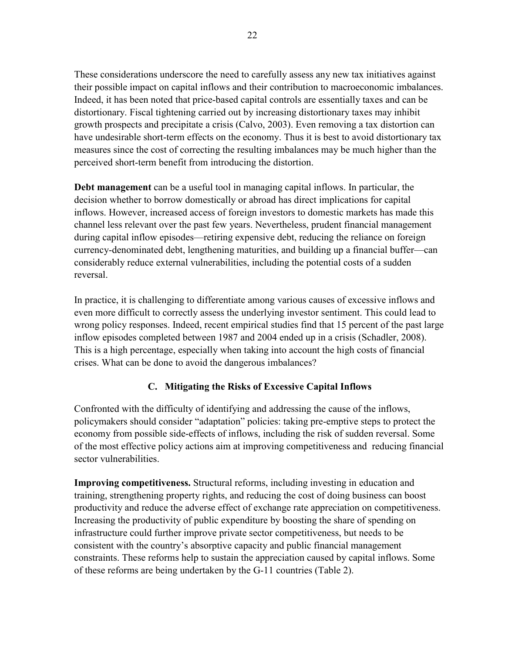<span id="page-23-0"></span>These considerations underscore the need to carefully assess any new tax initiatives against their possible impact on capital inflows and their contribution to macroeconomic imbalances. Indeed, it has been noted that price-based capital controls are essentially taxes and can be distortionary. Fiscal tightening carried out by increasing distortionary taxes may inhibit growth prospects and precipitate a crisis (Calvo, 2003). Even removing a tax distortion can have undesirable short-term effects on the economy. Thus it is best to avoid distortionary tax measures since the cost of correcting the resulting imbalances may be much higher than the perceived short-term benefit from introducing the distortion.

**Debt management** can be a useful tool in managing capital inflows. In particular, the decision whether to borrow domestically or abroad has direct implications for capital inflows. However, increased access of foreign investors to domestic markets has made this channel less relevant over the past few years. Nevertheless, prudent financial management during capital inflow episodes—retiring expensive debt, reducing the reliance on foreign currency-denominated debt, lengthening maturities, and building up a financial buffer—can considerably reduce external vulnerabilities, including the potential costs of a sudden reversal.

In practice, it is challenging to differentiate among various causes of excessive inflows and even more difficult to correctly assess the underlying investor sentiment. This could lead to wrong policy responses. Indeed, recent empirical studies find that 15 percent of the past large inflow episodes completed between 1987 and 2004 ended up in a crisis (Schadler, 2008). This is a high percentage, especially when taking into account the high costs of financial crises. What can be done to avoid the dangerous imbalances?

# **C. Mitigating the Risks of Excessive Capital Inflows**

Confronted with the difficulty of identifying and addressing the cause of the inflows, policymakers should consider "adaptation" policies: taking pre-emptive steps to protect the economy from possible side-effects of inflows, including the risk of sudden reversal. Some of the most effective policy actions aim at improving competitiveness and reducing financial sector vulnerabilities.

**Improving competitiveness.** Structural reforms, including investing in education and training, strengthening property rights, and reducing the cost of doing business can boost productivity and reduce the adverse effect of exchange rate appreciation on competitiveness. Increasing the productivity of public expenditure by boosting the share of spending on infrastructure could further improve private sector competitiveness, but needs to be consistent with the country's absorptive capacity and public financial management constraints. These reforms help to sustain the appreciation caused by capital inflows. Some of these reforms are being undertaken by the G-11 countries (Table 2).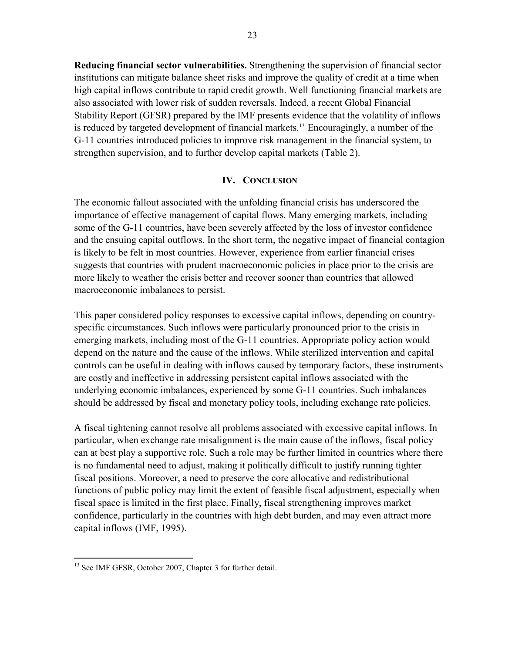<span id="page-24-0"></span>**Reducing financial sector vulnerabilities.** Strengthening the supervision of financial sector institutions can mitigate balance sheet risks and improve the quality of credit at a time when high capital inflows contribute to rapid credit growth. Well functioning financial markets are also associated with lower risk of sudden reversals. Indeed, a recent Global Financial Stability Report (GFSR) prepared by the IMF presents evidence that the volatility of inflows is reduced by targeted development of financial markets.<sup>[13](#page-24-1)</sup> Encouragingly, a number of the G-11 countries introduced policies to improve risk management in the financial system, to strengthen supervision, and to further develop capital markets (Table 2).

## **IV. CONCLUSION**

The economic fallout associated with the unfolding financial crisis has underscored the importance of effective management of capital flows. Many emerging markets, including some of the G-11 countries, have been severely affected by the loss of investor confidence and the ensuing capital outflows. In the short term, the negative impact of financial contagion is likely to be felt in most countries. However, experience from earlier financial crises suggests that countries with prudent macroeconomic policies in place prior to the crisis are more likely to weather the crisis better and recover sooner than countries that allowed macroeconomic imbalances to persist.

This paper considered policy responses to excessive capital inflows, depending on countryspecific circumstances. Such inflows were particularly pronounced prior to the crisis in emerging markets, including most of the G-11 countries. Appropriate policy action would depend on the nature and the cause of the inflows. While sterilized intervention and capital controls can be useful in dealing with inflows caused by temporary factors, these instruments are costly and ineffective in addressing persistent capital inflows associated with the underlying economic imbalances, experienced by some G-11 countries. Such imbalances should be addressed by fiscal and monetary policy tools, including exchange rate policies.

A fiscal tightening cannot resolve all problems associated with excessive capital inflows. In particular, when exchange rate misalignment is the main cause of the inflows, fiscal policy can at best play a supportive role. Such a role may be further limited in countries where there is no fundamental need to adjust, making it politically difficult to justify running tighter fiscal positions. Moreover, a need to preserve the core allocative and redistributional functions of public policy may limit the extent of feasible fiscal adjustment, especially when fiscal space is limited in the first place. Finally, fiscal strengthening improves market confidence, particularly in the countries with high debt burden, and may even attract more capital inflows (IMF, 1995).

1

<span id="page-24-1"></span><sup>&</sup>lt;sup>13</sup> See IMF GFSR, October 2007, Chapter 3 for further detail.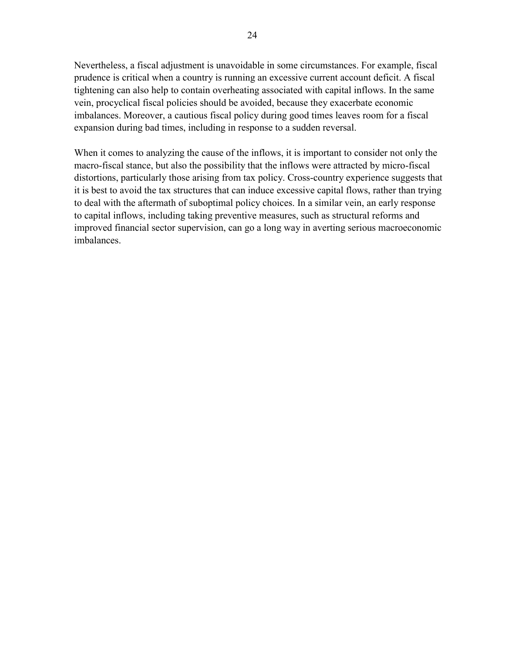Nevertheless, a fiscal adjustment is unavoidable in some circumstances. For example, fiscal prudence is critical when a country is running an excessive current account deficit. A fiscal tightening can also help to contain overheating associated with capital inflows. In the same vein, procyclical fiscal policies should be avoided, because they exacerbate economic imbalances. Moreover, a cautious fiscal policy during good times leaves room for a fiscal expansion during bad times, including in response to a sudden reversal.

When it comes to analyzing the cause of the inflows, it is important to consider not only the macro-fiscal stance, but also the possibility that the inflows were attracted by micro-fiscal distortions, particularly those arising from tax policy. Cross-country experience suggests that it is best to avoid the tax structures that can induce excessive capital flows, rather than trying to deal with the aftermath of suboptimal policy choices. In a similar vein, an early response to capital inflows, including taking preventive measures, such as structural reforms and improved financial sector supervision, can go a long way in averting serious macroeconomic imbalances.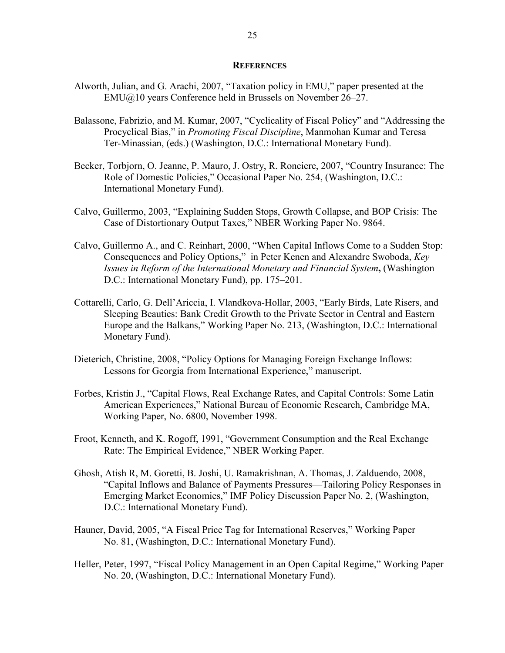### **REFERENCES**

- <span id="page-26-0"></span>Alworth, Julian, and G. Arachi, 2007, "Taxation policy in EMU," paper presented at the EMU@10 years Conference held in Brussels on November 26–27.
- Balassone, Fabrizio, and M. Kumar, 2007, "Cyclicality of Fiscal Policy" and "Addressing the Procyclical Bias," in *Promoting Fiscal Discipline*, Manmohan Kumar and Teresa Ter-Minassian, (eds.) (Washington, D.C.: International Monetary Fund).
- Becker, Torbjorn, O. Jeanne, P. Mauro, J. Ostry, R. Ronciere, 2007, "Country Insurance: The Role of Domestic Policies," Occasional Paper No. 254, (Washington, D.C.: International Monetary Fund).
- Calvo, Guillermo, 2003, "Explaining Sudden Stops, Growth Collapse, and BOP Crisis: The Case of Distortionary Output Taxes," NBER Working Paper No. 9864.
- Calvo, Guillermo A., and C. Reinhart, 2000, "When Capital Inflows Come to a Sudden Stop: Consequences and Policy Options," in Peter Kenen and Alexandre Swoboda, *Key Issues in Reform of the International Monetary and Financial System***,** (Washington D.C.: International Monetary Fund), pp. 175–201.
- Cottarelli, Carlo, G. Dell'Ariccia, I. Vlandkova-Hollar, 2003, "Early Birds, Late Risers, and Sleeping Beauties: Bank Credit Growth to the Private Sector in Central and Eastern Europe and the Balkans," Working Paper No. 213, (Washington, D.C.: International Monetary Fund).
- Dieterich, Christine, 2008, "Policy Options for Managing Foreign Exchange Inflows: Lessons for Georgia from International Experience," manuscript.
- Forbes, Kristin J., "Capital Flows, Real Exchange Rates, and Capital Controls: Some Latin American Experiences," National Bureau of Economic Research, Cambridge MA, Working Paper, No. 6800, November 1998.
- Froot, Kenneth, and K. Rogoff, 1991, "Government Consumption and the Real Exchange Rate: The Empirical Evidence," NBER Working Paper.
- Ghosh, Atish R, M. Goretti, B. Joshi, U. Ramakrishnan, A. Thomas, J. Zalduendo, 2008, "Capital Inflows and Balance of Payments Pressures—Tailoring Policy Responses in Emerging Market Economies," IMF Policy Discussion Paper No. 2, (Washington, D.C.: International Monetary Fund).
- Hauner, David, 2005, "A Fiscal Price Tag for International Reserves," Working Paper No. 81, (Washington, D.C.: International Monetary Fund).
- Heller, Peter, 1997, "Fiscal Policy Management in an Open Capital Regime," Working Paper No. 20, (Washington, D.C.: International Monetary Fund).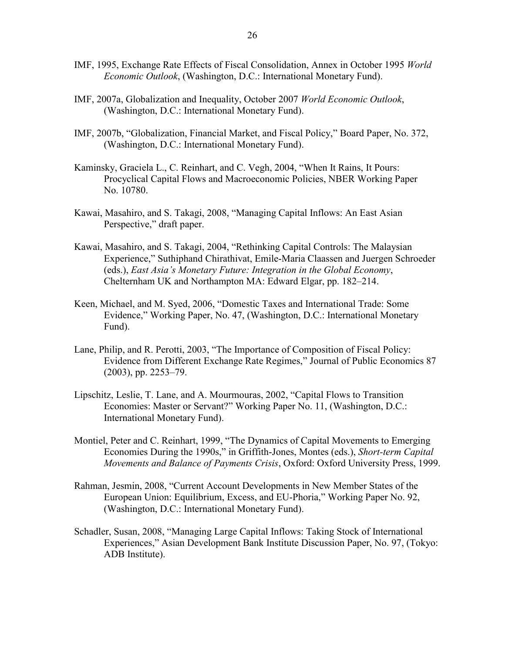- IMF, 1995, Exchange Rate Effects of Fiscal Consolidation, Annex in October 1995 *World Economic Outlook*, (Washington, D.C.: International Monetary Fund).
- IMF, 2007a, Globalization and Inequality, October 2007 *World Economic Outlook*, (Washington, D.C.: International Monetary Fund).
- IMF, 2007b, "Globalization, Financial Market, and Fiscal Policy," Board Paper, No. 372, (Washington, D.C.: International Monetary Fund).
- Kaminsky, Graciela L., C. Reinhart, and C. Vegh, 2004, "When It Rains, It Pours: Procyclical Capital Flows and Macroeconomic Policies, NBER Working Paper No. 10780.
- Kawai, Masahiro, and S. Takagi, 2008, "Managing Capital Inflows: An East Asian Perspective," draft paper.
- Kawai, Masahiro, and S. Takagi, 2004, "Rethinking Capital Controls: The Malaysian Experience," Suthiphand Chirathivat, Emile-Maria Claassen and Juergen Schroeder (eds.), *East Asia's Monetary Future: Integration in the Global Economy*, Chelternham UK and Northampton MA: Edward Elgar, pp. 182–214.
- Keen, Michael, and M. Syed, 2006, "Domestic Taxes and International Trade: Some Evidence," Working Paper, No. 47, (Washington, D.C.: International Monetary Fund).
- Lane, Philip, and R. Perotti, 2003, "The Importance of Composition of Fiscal Policy: Evidence from Different Exchange Rate Regimes," Journal of Public Economics 87 (2003), pp. 2253–79.
- Lipschitz, Leslie, T. Lane, and A. Mourmouras, 2002, "Capital Flows to Transition Economies: Master or Servant?" Working Paper No. 11, (Washington, D.C.: International Monetary Fund).
- Montiel, Peter and C. Reinhart, 1999, "The Dynamics of Capital Movements to Emerging Economies During the 1990s," in Griffith-Jones, Montes (eds.), *Short-term Capital Movements and Balance of Payments Crisis*, Oxford: Oxford University Press, 1999.
- Rahman, Jesmin, 2008, "Current Account Developments in New Member States of the European Union: Equilibrium, Excess, and EU-Phoria," Working Paper No. 92, (Washington, D.C.: International Monetary Fund).
- Schadler, Susan, 2008, "Managing Large Capital Inflows: Taking Stock of International Experiences," Asian Development Bank Institute Discussion Paper, No. 97, (Tokyo: ADB Institute).